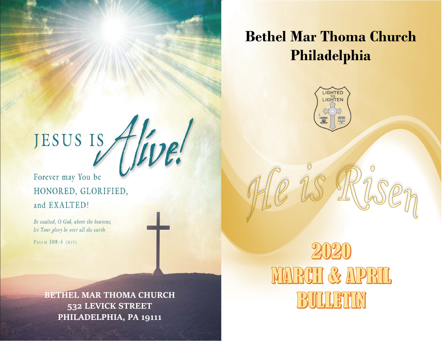# **Bethel Mar Thoma Church Philadelphia**



JESUS IS

Forever may You be HONORED, GLORIFIED, and EXALTED!

Be exalted, O God, above the heavens; let Your glory be over all the earth.

PSALM 108:5 (NIV)

**BETHEL MAR THOMA CHURCH 532 LEVICK STREET PHILADELPHIA, PA 19111**

MARCH & APRIL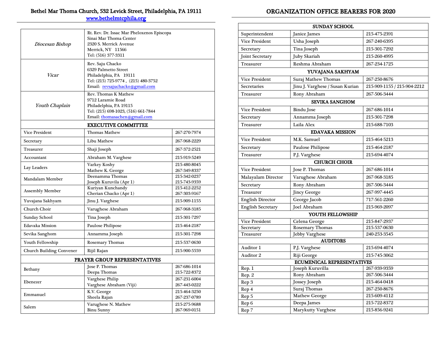# Bethel Mar Thoma Church, 532 Levick Street, Philadelphia, PA 19111

[www.bethelmtcphila.org](http://www.bethelmtcphila.org/) 

| Diocesan Bishop                 | Rt. Rev. Dr. Issac Mar Pheloxenos Episcopa<br>Sinai Mar Thoma Center<br>2320 S. Merrick Avenue<br>Merrick, NY 11566<br>Tel: (516) 377-3311  |                              |  |  |
|---------------------------------|---------------------------------------------------------------------------------------------------------------------------------------------|------------------------------|--|--|
| Vicar                           | Rev. Saju Chacko<br>6329 Palmetto Street<br>Philadelphia, PA 19111<br>Tel: (215) 725-9774, (215) 480-3752<br>Email: revsajuchacko@gmail.com |                              |  |  |
| Youth Chaplain                  | Rev. Thomas K Mathew<br>9712 Laramie Road<br>Philadelphia, PA 19115<br>Tel: (215) 698-1023, (516) 661-7844<br>Email: thomasachen@gmail.com  |                              |  |  |
|                                 | <b>EXECUTIVE COMMITTEE</b>                                                                                                                  |                              |  |  |
| Vice President                  | <b>Thomas Mathew</b>                                                                                                                        | 267-270-7974                 |  |  |
| Secretary                       | Libu Mathew                                                                                                                                 | 267-968-2229                 |  |  |
| Treasurer                       | Shaji Joseph                                                                                                                                | 267-372-2521                 |  |  |
| Accountant                      | 215-919-5249<br>Abraham M. Varghese                                                                                                         |                              |  |  |
| Lay Leaders                     | Varkey Koshy<br>Mathew K. George                                                                                                            | 215-480-8045<br>267-349-8337 |  |  |
| Mandalam Member                 | Deenamma Thomas<br>Joseph Kuruvila (Apr 1)                                                                                                  | 215-342-0237<br>215-743-9359 |  |  |
| Assembly Member                 | Kuriyan Kunchandy<br>Cherian Chacko (Apr 1)                                                                                                 | 215-412-2252<br>267-303-9167 |  |  |
| Yuvajana Sakhyam                | Jinu J. Varghese                                                                                                                            | 215-909-1155                 |  |  |
| Church Choir                    | Varughese Abraham                                                                                                                           | 267-968-3185                 |  |  |
| <b>Sunday School</b>            | Tina Joseph                                                                                                                                 | 215-301-7297                 |  |  |
| Edavaka Mission                 | Paulose Philipose<br>215-464-2187                                                                                                           |                              |  |  |
| Sevika Sanghom                  | Annamma Joseph                                                                                                                              | 215-301-7298                 |  |  |
| Youth Fellowship                | Rosemary Thomas<br>215-537-0630                                                                                                             |                              |  |  |
| <b>Church Building Convener</b> | Rijil Rajan<br>215-900-5559                                                                                                                 |                              |  |  |
| PRAYER GROUP REPRESENTATIVES    |                                                                                                                                             |                              |  |  |
| Bethany                         | Jose P. Thomas<br>Deepa Thomas                                                                                                              | 267-686-1014<br>215-722-8372 |  |  |
| Ebenezer                        | Varghese Philip<br>Varghese Abraham (Viji)                                                                                                  | 267-231-6004<br>267-443-0222 |  |  |
| Emmanuel                        | K.V. George<br>Sheela Rajan                                                                                                                 | 215-464-3250<br>267-237-0789 |  |  |
| Salem                           | Varughese N. Mathew<br><b>Binu Sunny</b>                                                                                                    | 215-275-9688<br>267-969-0151 |  |  |

# ORGANIZATION OFFICE BEARERS FOR 2020

| <b>SUNDAY SCHOOL</b>       |                                 |                             |  |  |
|----------------------------|---------------------------------|-----------------------------|--|--|
| Superintendent             | Janice James                    | 215-475-2391                |  |  |
| Vice President             | Usha Joseph                     | 267-240-6395                |  |  |
| Secretary                  | Tina Joseph                     | 215-301-7292                |  |  |
| <b>Joint Secretary</b>     | Juby Skariah                    | 215-260-4995                |  |  |
| Treasurer                  | Reshma Abraham                  | 267-234-1725                |  |  |
|                            | YUVAJANA SAKHYAM                |                             |  |  |
| <b>Vice President</b>      | Suraj Mathew Thomas             | 267-250-8676                |  |  |
| Secretaries                | Jinu J. Varghese / Susan Kurian | 215-909-1155 / 215-904-2212 |  |  |
| Treasurer                  | Rony Abraham                    | 267-506-3444                |  |  |
|                            | <b>SEVIKA SANGHOM</b>           |                             |  |  |
| Vice President             | <b>Bindu Jose</b>               | 267-686-1014                |  |  |
| Secretary                  | Annamma Joseph                  | 215-301-7298                |  |  |
| Treasurer                  | Laila Alex                      | 215-688-7103                |  |  |
|                            | <b>EDAVAKA MISSION</b>          |                             |  |  |
| <b>Vice President</b>      | M.K. Samuel                     | 215-464-5213                |  |  |
| Secretary                  | Paulose Philipose               | 215-464-2187                |  |  |
| Treasurer                  | P.J. Varghese                   | 215-694-4074                |  |  |
|                            | <b>CHURCH CHOIR</b>             |                             |  |  |
| <b>Vice President</b>      | Jose P. Thomas                  | 267-686-1014                |  |  |
| Malayalam Director         | Varughese Abraham               | 267-968-3185                |  |  |
| Secretary                  | Rony Abraham                    | 267-506-3444                |  |  |
| <b>Treasurer</b>           | <b>Jincy George</b>             | 267-997-4445                |  |  |
| <b>English Director</b>    | George Jacob                    | 717-561-2260                |  |  |
| <b>English Secretary</b>   | Joel Abraham                    | 215-969-2097                |  |  |
|                            | <b>YOUTH FELLOWSHIP</b>         |                             |  |  |
| Vice President             | Celena George                   | 215-847-2937                |  |  |
| Secretary                  | Rosemary Thomas                 | 215-537-0630                |  |  |
| <b>Treasurer</b>           | <b>Jebby Varghese</b>           | 240-253-3545                |  |  |
|                            | <b>AUDITORS</b>                 |                             |  |  |
| Auditor 1                  | P.J. Varghese                   | 215-694-4074                |  |  |
| Auditor 2                  | Riji George                     | 215-745-3062                |  |  |
| ECUMENICAL REPRESENTATIVES |                                 |                             |  |  |
| Rep. 1                     | Joseph Kuruvilla                | 267-939-9359                |  |  |
| Rep. 2                     | Rony Abraham                    | 267-506-3444                |  |  |
| Rep 3                      | Jossey Joseph                   | 215-464-0418                |  |  |
| Rep 4                      | Suraj Thomas                    | 267-250-8676                |  |  |
| Rep 5                      | <b>Mathew George</b>            | 215-609-4112                |  |  |
| Rep 6                      | Deepa James                     | 215-722-8372                |  |  |
| Rep 7                      | Marykutty Varghese              | 215-856-9241                |  |  |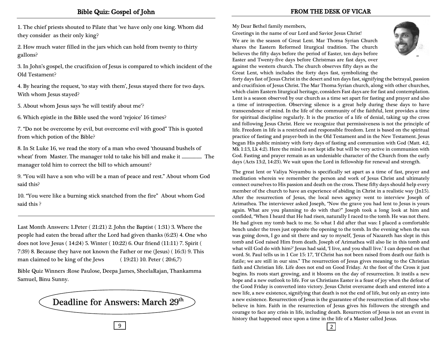1. The chief priests shouted to Pilate that 'we have only one king. Whom did they consider as their only king?

2. How much water filled in the jars which can hold from twenty to thirty gallons?

3. In John's gospel, the crucifixion of Jesus is compared to which incident of the Old Testament?

4. By hearing the request, 'to stay with them', Jesus stayed there for two days. With whom Jesus stayed?

5. About whom Jesus says 'he will testify about me'?

6. Which epistle in the Bible used the word 'rejoice' 16 times?

7. "Do not be overcome by evil, but overcome evil with good" This is quoted from which potion of the Bible?

8. In St Luke 16, we read the story of a man who owed 'thousand bushels of wheat' from Master. The manager told to take his bill and make it .................. The manager told him to correct the bill to which amount?

9. "You will have a son who will be a man of peace and rest." About whom God said this?

10. "You were like a burning stick snatched from the fire" About whom God said this ?

Last Month Answers: 1.Peter ( 21:21) 2. John the Baptist ( 1:31) 3. Where the people had eaten the bread after the Lord had given thanks (6:23) 4. One who does not love Jesus ( 14:24) 5. Winter ( 10:22) 6. Our friend (11:11) 7. Spirit ( 7:39) 8. Because they have not known the Father or me (Jesus) ( 16:3) 9. This man claimed to be king of the Jews (19:21) 10. Peter (20:6,7)

Bible Quiz Winners :Rose Paulose, Deepa James, SheelaRajan, Thankamma Samuel, Binu Sunny.



My Dear Bethel family members,

Greetings in the name of our Lord and Savior Jesus Christ!

We are in the season of Great Lent. Mar Thoma Syrian Church shares the Eastern Reformed liturgical tradition. The church believes the fifty days before the period of Easter, ten days before Easter and Twenty-five days before Christmas are fast days, over against the western church. The church observes fifty days as the Great Lent, which includes the forty days fast, symbolizing the

forty days fast of Jesus Christ in the desert and ten days fast, signifying the betrayal, passion and crucifixion of Jesus Christ. The Mar Thoma Syrian church, along with other churches, which claim Eastern liturgical heritage, considers Fast days are for fast and contemplation. Lent is a season observed by our church as a time set apart for fasting and prayer and also a time of introspection. Observing silence is a great help during these days to have transcendence of mind. In the life of the community of the faithful, lent provides a time for spiritual discipline regularly. It is the practice of a life of denial, taking up the cross and following Jesus Christ. Here we recognize that permissiveness is not the principle of life. Freedom in life is a restricted and responsible freedom. Lent is based on the spiritual practice of fasting and prayer-both in the Old Testament and in the New Testament. Jesus began His public ministry with forty days of fasting and communion with God (Matt. 4:2, Mk 1:13, Lk 4:2). Here the mind is not kept idle but will be very active in communion with God. Fasting and prayer remain as an undeniable character of the Church from the early days (Acts 13:2, 14:23). We wait upon the Lord in fellowship for renewal and strength.

The great lent or Valiya Noyambu is specifically set apart as a time of fast, prayer and meditation wherein we remember the person and work of Jesus Christ and ultimately connect ourselves to His passion and death on the cross. These fifty days should help every member of the church to have an experience of abiding in Christ in a realistic way (Jn15). After the resurrection of Jesus, the local news agency went to interview Joseph of Arimathea. The interviewer asked Joseph, "Now the grave you had lent to Jesus is yours again. What are you planning to do with that?" Joseph took a long look at him and confided, "When I heard that He had risen, naturally I raced to the tomb. He was not there. He had given my tomb back to me. So what I did after that was: I placed a comfortable bench under the trees just opposite the opening to the tomb. In the evening when the sun was going down, I go and sit there and say to myself, 'Jesus of Nazareth has slept in this tomb and God raised Him from death. Joseph of Arimathea will also lie in this tomb and what will God do with him?' Jesus had said, 'I live, and you shall live.' I can depend on that word. St. Paul tells us in 1 Cor 15: 17, 'If Christ has not been raised from death our faith is futile; we are still in our sins." The resurrection of Jesus gives meaning to the Christian faith and Christian life. Life does not end on Good Friday. At the foot of the Cross it just begins. Its roots start growing, and it blooms on the day of resurrection. It instils a new hope and a new outlook to life. For us Christians Easter is a feast of joy when the defeat of the Good Friday is converted into victory. Jesus Christ overcame death and entered into a new life, a new existence, signifying that death is not the end of life, but only an entry into a new existence. Resurrection of Jesus is the guarantee of the resurrection of all those who believe in him. Faith in the resurrection of Jesus gives his followers the strength and courage to face any crisis in life, including death. Resurrection of Jesus is not an event in history that happened once upon a time in the life of a Master called Jesus.

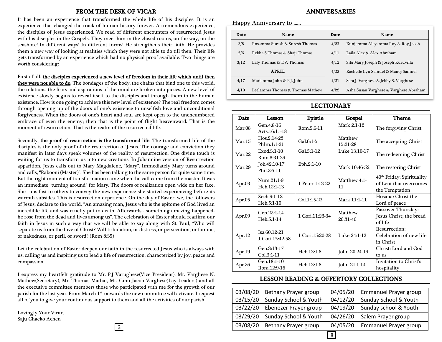#### FROM THE DESK OF VICAR

It has been an experience that transformed the whole life of his disciples. It is an experience that changed the track of human history forever. A tremendous experience, the disciples of Jesus experienced. We read of different encounters of resurrected Jesus with his disciples in the Gospels. They meet him in the closed rooms, on the way, on the seashore! In different ways! In different forms! He strengthens their faith. He provides them a new way of looking at realities which they were not able to do till then. Their life gets transformed by an experience which had no physical proof available. Two things are worth considering:

First of all, the disciples experienced a new level of freedom in their life which until then they were not able to do. The bondages of the body, the chains that bind one to this world, the relations, the fears and aspirations of the mind are broken into pieces. A new level of existence slowly begins to reveal itself to the disciples and through them to the human existence. How is one going to achieve this new level of existence? The real freedom comes through opening up of the doors of one's existence to unselfish love and unconditional forgiveness. When the doors of one's heart and soul are kept open to the unencumbered embrace of even the enemy; then that is the point of flight heavenward. That is the moment of resurrection. That is the realm of the resurrected life.

Secondly, the proof of resurrection is the transformed life. The transformed life of the disciples is the only proof of the resurrection of Jesus. The courage and conviction they manifest in later days speak volumes of the reality of resurrection. One divine touch is waiting for us to transform us into new creations. In Johannine version of Resurrection apparition, Jesus calls out to Mary Magdalene, "Mary". Immediately Mary turns around and calls, "Rabooni (Master)". She has been talking to the same person for quite some time. But the right moment of transformation came when the call came from the master. It was an immediate "turning around" for Mary. The doors of realization open wide on her face. She runs fast to others to convey the new experience she started experiencing before its warmth subsides. This is resurrection experience. On the day of Easter, we, the followers of Jesus, declare to the world, "An amazing man, Jesus who is the epitome of God lived an incredible life and was cruelly put to death. Afterwards - something amazing happenedhe rose from the dead and lives among us". The celebration of Easter should reaffirm our faith in Jesus in such a way that we will be able to say along with St. Paul, "Who will separate us from the love of Christ? Will tribulation, or distress, or persecution, or famine, or nakedness, or peril, or sword? (Rom 8:35)

Let the celebration of Easter deepen our faith in the resurrected Jesus who is always with us, calling us and inspiring us to lead a life of resurrection, characterized by joy, peace and compassion.

I express my heartfelt gratitude to Mr. P.J Varughese(Vice President), Mr. Varghese N. Mathew(Secretary), Mr. Thomas Mathai, Mr. Ginu Jacob Varghese(Lay Leaders) and all the executive committee members those who participated with me for the growth of our parish for the last year. From March 1<sup>st</sup> onwards the new committee will activate. I request all of you to give your continuous support to them and all the activities of our parish.

Lovingly Your Vicar, Saju Chacko Achen

# ANNIVERSARIES

#### Happy Anniversary to ......

| Date | Name                            | Date | Name                                   |
|------|---------------------------------|------|----------------------------------------|
| 3/8  | Rosamma Suresh & Suresh Thomas  | 4/23 | Kunjamma Aleyamma Roy & Roy Jacob      |
| 3/6  | Rekha S Thomas & Shaji Thomas   | 4/11 | Laila Alex & Alex Abraham              |
| 3/12 | Laly Thomas & T.V. Thomas       |      | Sibi Mary Joseph & Joseph Kuruvilla    |
|      | <b>APRIL</b>                    | 4/22 | Rachelle Lyn Samuel & Manoj Samuel     |
| 4/17 | Mariamma John & P.J. John       | 4/21 | Sara J. Varghese & Jebby S. Varghese   |
| 4/10 | Leelamma Thomas & Thomas Mathew | 4/22 | Asha Susan Varghese & Varghese Abraham |

# LECTIONARY

| <b>Date</b> | Lesson                          | Epistle         | Gospel              | Theme                                                                             |
|-------------|---------------------------------|-----------------|---------------------|-----------------------------------------------------------------------------------|
| Mar.08      | Gen.4:8-16<br>Acts.16:11-18     | Rom.5:6-11      | Mark 2:1-12         | The forgiving Christ                                                              |
| Mar.15      | Hos.2:14-23<br>Phlm.1:1-21      | $Gal.6:1-5$     | Matthew<br>15:21-28 | The accepting Christ                                                              |
| Mar.22      | Exod.3:1-10<br>Rom.8:31-39      | Gal.5:1-12      | Luke 13:10-17       | The redeeming Christ                                                              |
| Mar.29      | Job.42:10-17<br>Phil.2:5-11     | Eph.2:1-10      | Mark 10:46-52       | The restoring Christ                                                              |
| Apr. $03$   | Num.21:1-9<br>Heb.12:1-13       | 1 Peter 1:13-22 | Matthew 4:1-<br>11  | 40 <sup>th</sup> Friday: Spirituality<br>of Lent that overcomes<br>the Temptation |
| Apr.05      | Zech.9:1-12<br>Heb.5:1-10       | Col.1:15-23     | Mark 11:1-11        | Hosana: Christ the<br>Lord of peace                                               |
| Apr.09      | Gen.22:1-14<br>Heb.5:1-14       | 1 Cori.11:23-34 | Matthew<br>26:31-46 | Passover Thursday:<br>Jesus Christ; the bread<br>of life                          |
| Apr.12      | Isa.60:12-21<br>1 Cori.15:42-58 | 1 Cori.15:20-28 | Luke 24:1-12        | Resurrection:<br>Celebration of new life<br>in Christ                             |
| Apr.19      | Gen.3:13-17<br>Col.3:1-11       | Heb.13:1-8      | John 20:24-19       | Christ: Lord and God<br>to us                                                     |
| Apr.26      | Gen.18:1-10<br>Rom.12:9-16      | Heb.13:1-8      | John 21:1-14        | <b>Invitation to Christ's</b><br>hospitality                                      |

### LESSON READING & OFFERTORY COLLECTIONS

| participated with the for the growth of our   |          |                                  |          |                              |
|-----------------------------------------------|----------|----------------------------------|----------|------------------------------|
| ds the new committee will activate. I request | 03/08/20 | Bethany Prayer group             | 04/05/20 | <b>Emmanuel Prayer group</b> |
| them and all the activities of our parish.    |          | 03/15/20   Sunday School & Youth | 04/12/20 | Sunday School & Youth        |
|                                               |          | 03/22/20   Ebenezer Prayer group | 04/19/20 | Sunday school & Youth        |
|                                               |          | 03/29/20   Sunday School & Youth | 04/26/20 | Salem Prayer group           |
| $\overline{3}$ $\overline{\phantom{1}}$       | 03/08/20 | Bethany Prayer group             | 04/05/20 | <b>Emmanuel Prayer group</b> |
|                                               |          |                                  |          |                              |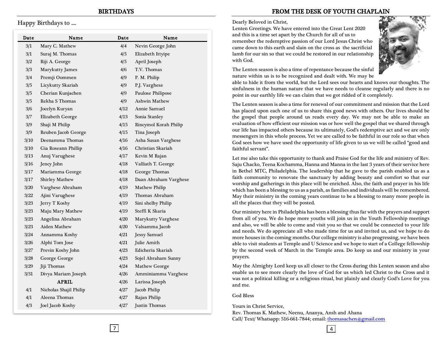Happy Birthdays to ....

 $\overline{a}$ 

l

| Date | Name                   | Date | Name                  |  |
|------|------------------------|------|-----------------------|--|
| 3/1  | Mary C. Mathew         | 4/4  | Nevin George John     |  |
| 3/1  | Suraj M. Thomas        | 4/5  | Elizabeth Ittyipe     |  |
| 3/2  | Riji A. George         | 4/5  | April Joseph          |  |
| 3/3  | Marykutty James        | 4/6  | T.V. Thomas           |  |
| 3/4  | Premji Oommen          | 4/9  | P. M. Philip          |  |
| 3/5  | Licykutty Skariah      | 4/9  | P.J. Varghese         |  |
| 3/5  | Cherian Kunjachen      | 4/9  | Paulose Philipose     |  |
| 3/5  | Rekha S Thomas         | 4/9  | <b>Ashwin Mathew</b>  |  |
| 3/6  | Jocelyn Kuryan         | 4/12 | Annie Samuel          |  |
| 3/7  | Elizabeth George       | 4/13 | Sonia Stanley         |  |
| 3/9  | Shaji M Philip         | 4/15 | Rincymol Korah Philip |  |
| 3/9  | Reuben Jacob George    | 4/15 | Tina Joseph           |  |
| 3/10 | Deenamma Thomas        | 4/16 | Asha Susan Varghese   |  |
| 3/10 | Gia Roseann Phillip    | 4/16 | Christian Skariah     |  |
| 3/13 | Anuj Varughese         | 4/17 | Kevin M Rajan         |  |
| 3/16 | Jency John             | 4/18 | Valliath T. George    |  |
| 3/17 | Mariamma George        | 4/18 | George Thomas         |  |
| 3/17 | <b>Shirley Mathew</b>  | 4/18 | Daan Abraham Varghese |  |
| 3/20 | Varghese Abraham       | 4/19 | <b>Mathew Philip</b>  |  |
| 3/22 | Ajini Varughese        | 4/19 | Thomas Abraham        |  |
| 3/23 | Jerry T Koshy          | 4/19 | Sini shelby Philip    |  |
| 3/23 | Maju Mary Mathew       | 4/19 | Steffi K Skaria       |  |
| 3/23 | Angelina Abraham       | 4/20 | Marykutty Varghese    |  |
| 3/23 | <b>Aiden Mathew</b>    | 4/20 | Valsamma Jacob        |  |
| 3/24 | Annamma Koshy          | 4/21 | <b>Jessy Samuel</b>   |  |
| 3/26 | Alphi Tom Jose         | 4/21 | Julie Amith           |  |
| 3/27 | Previn Koshy John      | 4/23 | Edicheria Skariah     |  |
| 3/28 | George George          | 4/23 | Sojel Abraham Sunny   |  |
| 3/29 | Jiji Thomas            | 4/24 | <b>Mathew George</b>  |  |
| 3/31 | Divya Mariam Joseph    | 4/26 | Amminiamma Varghese   |  |
|      | <b>APRIL</b>           | 4/26 | Larissa Joseph        |  |
| 4/1  | Nicholas Shajil Philip | 4/27 | Jacob Philip          |  |
| 4/1  | Aleena Thomas          | 4/27 | Rajan Philip          |  |
| 4/3  | Joel Jacob Koshy       | 4/27 | <b>Justin Thomas</b>  |  |

## FROM THE DESK OF YOUTH CHAPLAIN

#### Dearly Beloved in Christ,

Lenten Greetings. We have entered into the Great Lent 2020 and this is a time set apart by the Church for all of us to remember the redemptive passion of our Lord Jesus Christ who came down to this earth and slain on the cross as the sacrificial lamb for our sin so that we could be restored in our relationship with God.



The Lenten season is also a time of repentance because the sinful nature within us is to be recognized and dealt with. We may be

able to hide it from the world, but the Lord sees our hearts and knows our thoughts. The sinfulness in the human nature that we have needs to cleanse regularly and there is no point in our earthly life we can claim that we got ridded of it completely.

The Lenten season is also a time for renewal of our commitment and mission that the Lord has placed upon each one of us to share this good news with others. Our lives should be the gospel that people around us reads every day. We may not be able to make an evaluation of how efficient our mission was or how well the gospel that we shared through our life has impacted others because its ultimately, God's redemptive act and we are only messengers in this whole process. Yet we are called to be faithful in our role so that when God sees how we have used the opportunity of life given to us we will be called "good and faithful servant".

Let me also take this opportunity to thank and Praise God for the life and ministry of Rev. Saju Chacko, Teena Kochamma, Hanna and Manna in the last 3 years of their service here in Bethel MTC, Philadelphia. The leadership that he gave to the parish enabled us as a faith community to renovate the sanctuary by adding beauty and comfort so that our worship and gatherings in this place will be enriched. Also, the faith and prayer in his life which has been a blessing to us as a parish, as families and individuals will be remembered. May their ministry in the coming years continue to be a blessing to many more people in all the places that they will be posted.

Our ministry here in Philadelphia has been a blessing thus far with the prayers and support from all of you. We do hope more youths will join us in the Youth Fellowship meetings and also, we will be able to come and visit you so that we could be connected to your life and needs. We do appreciate all who made time for us and invited us, and we hope to do more houses in the coming months. Our college ministry is also progressing, we have been able to visit students at Temple and U Science and we hope to start of a College fellowship by the second week of March in the Temple area. Do keep us and our ministry in your prayers.

May the Almighty Lord keep us all closer to the Cross during this Lenten season and also enable us to see more clearly the love of God for us which led Christ to the Cross and it was not a political killing or a religious ritual, but plainly and clearly God's Love for you and me.

God Bless

Yours in Christ Service,

Rev. Thomas K. Mathew, Neenu, Ananya, Ansh and Ahana Call/ Text/ Whatsapp: 516-661-7844; email: [thomasachen@gmail.com](mailto:thomasachen@gmail.com)